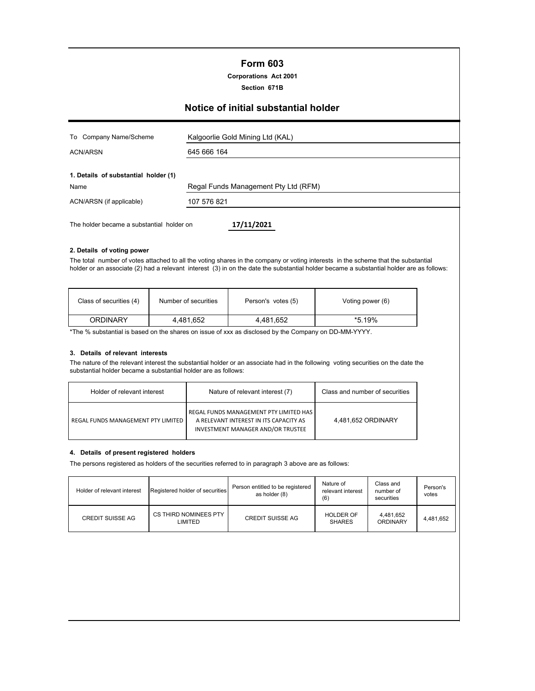# **Form 603**

**Corporations Act 2001**

**Section 671B**

# **Notice of initial substantial holder**

| To Company Name/Scheme                    | Kalgoorlie Gold Mining Ltd (KAL)     |
|-------------------------------------------|--------------------------------------|
| <b>ACN/ARSN</b>                           | 645 666 164                          |
| 1. Details of substantial holder (1)      |                                      |
| Name                                      | Regal Funds Management Pty Ltd (RFM) |
| ACN/ARSN (if applicable)                  | 107 576 821                          |
| The holder became a substantial holder on | 17/11/2021                           |

#### **2. Details of voting power**

The total number of votes attached to all the voting shares in the company or voting interests in the scheme that the substantial holder or an associate (2) had a relevant interest (3) in on the date the substantial holder became a substantial holder are as follows:

| Class of securities (4) | Number of securities | Person's votes (5) | Voting power (6) |
|-------------------------|----------------------|--------------------|------------------|
| ORDINARY                | 4.481.652            | 4,481,652          | *5.19%           |

\*The % substantial is based on the shares on issue of xxx as disclosed by the Company on DD-MM-YYYY.

### **3. Details of relevant interests**

The nature of the relevant interest the substantial holder or an associate had in the following voting securities on the date the substantial holder became a substantial holder are as follows:

| Holder of relevant interest        | Nature of relevant interest (7)                                                                                       | Class and number of securities |
|------------------------------------|-----------------------------------------------------------------------------------------------------------------------|--------------------------------|
| REGAL FUNDS MANAGEMENT PTY LIMITED | REGAL FUNDS MANAGEMENT PTY LIMITED HAS<br>A RELEVANT INTEREST IN ITS CAPACITY AS<br>INVESTMENT MANAGER AND/OR TRUSTEE | 4.481.652 ORDINARY             |

#### **4. Details of present registered holders**

The persons registered as holders of the securities referred to in paragraph 3 above are as follows:

| Holder of relevant interest | Registered holder of securities         | Person entitled to be registered<br>as holder (8) | Nature of<br>relevant interest<br>(6) | Class and<br>number of<br>securities | Person's<br>votes |
|-----------------------------|-----------------------------------------|---------------------------------------------------|---------------------------------------|--------------------------------------|-------------------|
| <b>CREDIT SUISSE AG</b>     | CS THIRD NOMINEES PTY<br><b>LIMITED</b> | <b>CREDIT SUISSE AG</b>                           | <b>HOLDER OF</b><br><b>SHARES</b>     | 4.481.652<br>ORDINARY                | 4.481.652         |